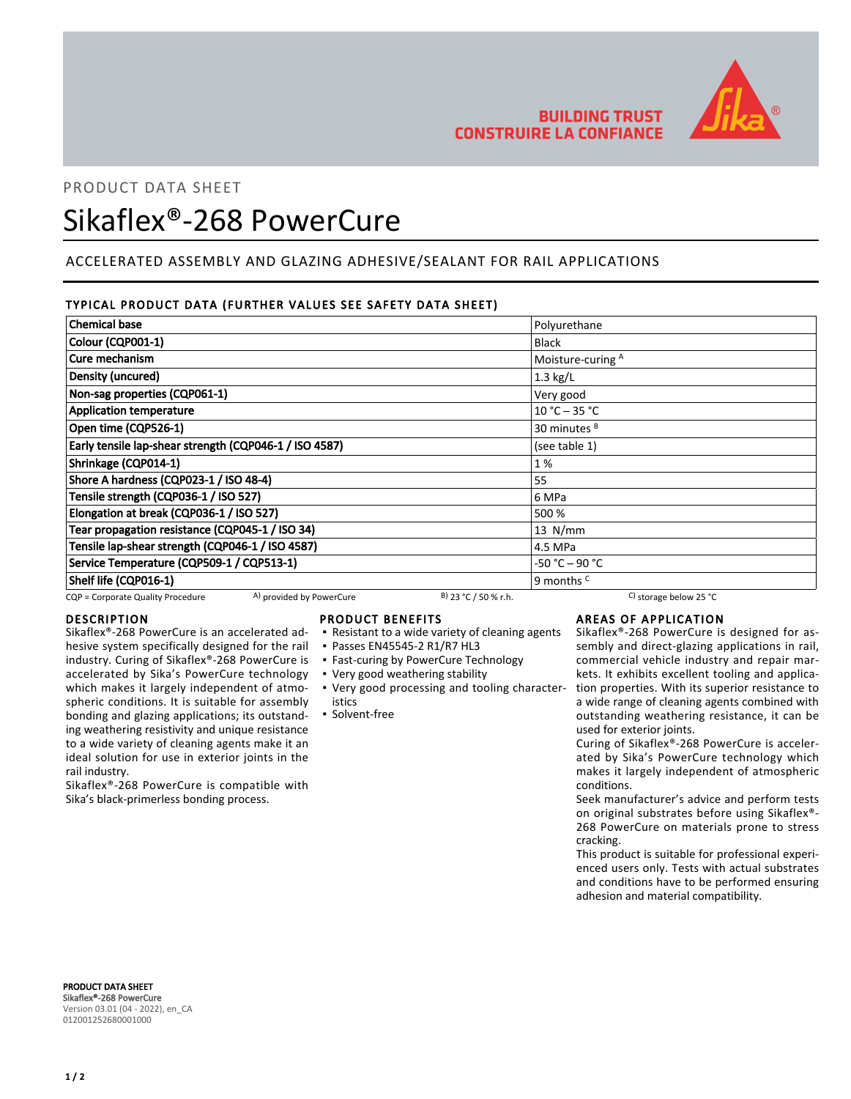

# **BUILDING TRUST CONSTRUIRE LA CONFIANCE**

# PRODUCT DATA SHEET

# Sikaflex®-268 PowerCure

# ACCELERATED ASSEMBLY AND GLAZING ADHESIVE/SEALANT FOR RAIL APPLICATIONS

# TYPICAL PRODUCT DATA (FURTHER VALUES SEE SAFETY DATA SHEET)

| <b>Chemical base</b>                                   | Polyurethane            |
|--------------------------------------------------------|-------------------------|
| Colour (CQP001-1)                                      | <b>Black</b>            |
| Cure mechanism                                         | Moisture-curing A       |
| Density (uncured)                                      | $1.3$ kg/L              |
| Non-sag properties (CQP061-1)                          | Very good               |
| <b>Application temperature</b>                         | $10 °C - 35 °C$         |
| Open time (CQP526-1)                                   | 30 minutes <sup>B</sup> |
| Early tensile lap-shear strength (CQP046-1 / ISO 4587) | (see table 1)           |
| Shrinkage (CQP014-1)                                   | 1 %                     |
| Shore A hardness (CQP023-1 / ISO 48-4)                 | 55                      |
| Tensile strength (CQP036-1 / ISO 527)                  | 6 MPa                   |
| Elongation at break (CQP036-1 / ISO 527)               | 500 %                   |
| Tear propagation resistance (CQP045-1 / ISO 34)        | $13$ N/mm               |
| Tensile lap-shear strength (CQP046-1 / ISO 4587)       | 4.5 MPa                 |
| Service Temperature (CQP509-1 / CQP513-1)              | $-50 °C - 90 °C$        |
| Shelf life (CQP016-1)                                  | 9 months <sup>c</sup>   |

CQP = Corporate Quality Procedure  $\frac{A}{A}$  provided by PowerCure  $\frac{B}{2}$  23 °C / 50 % r.h. C) storage below 25 °C

# DESCRIPTION

Sikaflex®-268 PowerCure is an accelerated adhesive system specifically designed for the rail industry. Curing of Sikaflex®-268 PowerCure is accelerated by Sika's PowerCure technology which makes it largely independent of atmospheric conditions. It is suitable for assembly bonding and glazing applications; its outstanding weathering resistivity and unique resistance to a wide variety of cleaning agents make it an ideal solution for use in exterior joints in the rail industry.

Sikaflex®-268 PowerCure is compatible with Sika's black-primerless bonding process.

## PRODUCT BENEFITS

- Resistant to a wide variety of cleaning agents
- Passes EN45545-2 R1/R7 HL3
- **Fast-curing by PowerCure Technology**
- Very good weathering stability
- Very good processing and tooling character-▪ istics

## ▪ Solvent-free

AREAS OF APPLICATION

Sikaflex®-268 PowerCure is designed for assembly and direct-glazing applications in rail, commercial vehicle industry and repair markets. It exhibits excellent tooling and application properties. With its superior resistance to a wide range of cleaning agents combined with outstanding weathering resistance, it can be used for exterior joints.

Curing of Sikaflex®-268 PowerCure is accelerated by Sika's PowerCure technology which makes it largely independent of atmospheric conditions.

Seek manufacturer's advice and perform tests on original substrates before using Sikaflex®- 268 PowerCure on materials prone to stress cracking.

This product is suitable for professional experienced users only. Tests with actual substrates and conditions have to be performed ensuring adhesion and material compatibility.

PRODUCT DATA SHEET Sikaflex®-268 PowerCure Version 03.01 (04 - 2022), en\_CA 012001252680001000